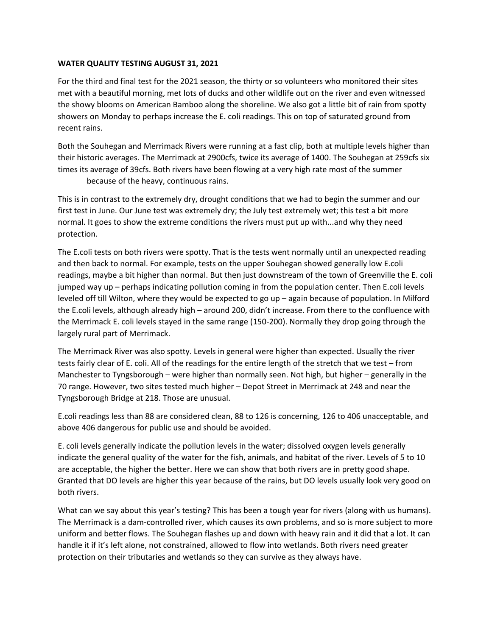# **WATER QUALITY TESTING AUGUST 31, 2021**

For the third and final test for the 2021 season, the thirty or so volunteers who monitored their sites met with a beautiful morning, met lots of ducks and other wildlife out on the river and even witnessed the showy blooms on American Bamboo along the shoreline. We also got a little bit of rain from spotty showers on Monday to perhaps increase the E. coli readings. This on top of saturated ground from recent rains.

Both the Souhegan and Merrimack Rivers were running at a fast clip, both at multiple levels higher than their historic averages. The Merrimack at 2900cfs, twice its average of 1400. The Souhegan at 259cfs six times its average of 39cfs. Both rivers have been flowing at a very high rate most of the summer because of the heavy, continuous rains.

This is in contrast to the extremely dry, drought conditions that we had to begin the summer and our first test in June. Our June test was extremely dry; the July test extremely wet; this test a bit more normal. It goes to show the extreme conditions the rivers must put up with...and why they need protection.

The E.coli tests on both rivers were spotty. That is the tests went normally until an unexpected reading and then back to normal. For example, tests on the upper Souhegan showed generally low E.coli readings, maybe a bit higher than normal. But then just downstream of the town of Greenville the E. coli jumped way up – perhaps indicating pollution coming in from the population center. Then E.coli levels leveled off till Wilton, where they would be expected to go up – again because of population. In Milford the E.coli levels, although already high – around 200, didn't increase. From there to the confluence with the Merrimack E. coli levels stayed in the same range (150-200). Normally they drop going through the largely rural part of Merrimack.

The Merrimack River was also spotty. Levels in general were higher than expected. Usually the river tests fairly clear of E. coli. All of the readings for the entire length of the stretch that we test – from Manchester to Tyngsborough – were higher than normally seen. Not high, but higher – generally in the 70 range. However, two sites tested much higher – Depot Street in Merrimack at 248 and near the Tyngsborough Bridge at 218. Those are unusual.

E.coli readings less than 88 are considered clean, 88 to 126 is concerning, 126 to 406 unacceptable, and above 406 dangerous for public use and should be avoided.

E. coli levels generally indicate the pollution levels in the water; dissolved oxygen levels generally indicate the general quality of the water for the fish, animals, and habitat of the river. Levels of 5 to 10 are acceptable, the higher the better. Here we can show that both rivers are in pretty good shape. Granted that DO levels are higher this year because of the rains, but DO levels usually look very good on both rivers.

What can we say about this year's testing? This has been a tough year for rivers (along with us humans). The Merrimack is a dam-controlled river, which causes its own problems, and so is more subject to more uniform and better flows. The Souhegan flashes up and down with heavy rain and it did that a lot. It can handle it if it's left alone, not constrained, allowed to flow into wetlands. Both rivers need greater protection on their tributaries and wetlands so they can survive as they always have.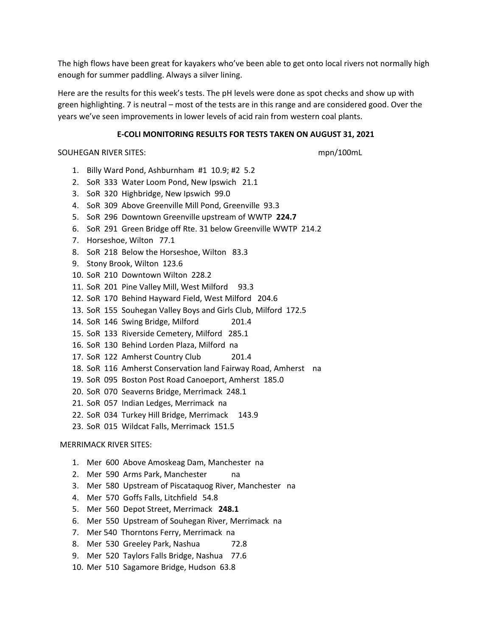The high flows have been great for kayakers who've been able to get onto local rivers not normally high enough for summer paddling. Always a silver lining.

Here are the results for this week's tests. The pH levels were done as spot checks and show up with green highlighting. 7 is neutral – most of the tests are in this range and are considered good. Over the years we've seen improvements in lower levels of acid rain from western coal plants.

# **E-COLI MONITORING RESULTS FOR TESTS TAKEN ON AUGUST 31, 2021**

SOUHEGAN RIVER SITES: mpn/100mL

- 1. Billy Ward Pond, Ashburnham #1 10.9; #2 5.2
- 2. SoR 333 Water Loom Pond, New Ipswich 21.1
- 3. SoR 320 Highbridge, New Ipswich 99.0
- 4. SoR 309 Above Greenville Mill Pond, Greenville 93.3
- 5. SoR 296 Downtown Greenville upstream of WWTP **224.7**
- 6. SoR 291 Green Bridge off Rte. 31 below Greenville WWTP 214.2
- 7. Horseshoe, Wilton 77.1
- 8. SoR 218 Below the Horseshoe, Wilton 83.3
- 9. Stony Brook, Wilton 123.6
- 10. SoR 210 Downtown Wilton 228.2
- 11. SoR 201 Pine Valley Mill, West Milford 93.3
- 12. SoR 170 Behind Hayward Field, West Milford 204.6
- 13. SoR 155 Souhegan Valley Boys and Girls Club, Milford 172.5
- 14. SoR 146 Swing Bridge, Milford 201.4
- 15. SoR 133 Riverside Cemetery, Milford 285.1
- 16. SoR 130 Behind Lorden Plaza, Milford na
- 17. SoR 122 Amherst Country Club 201.4
- 18. SoR 116 Amherst Conservation land Fairway Road, Amherst na
- 19. SoR 095 Boston Post Road Canoeport, Amherst 185.0
- 20. SoR 070 Seaverns Bridge, Merrimack 248.1
- 21. SoR 057 Indian Ledges, Merrimack na
- 22. SoR 034 Turkey Hill Bridge, Merrimack 143.9
- 23. SoR 015 Wildcat Falls, Merrimack 151.5

MERRIMACK RIVER SITES:

- 1. Mer 600 Above Amoskeag Dam, Manchester na
- 2. Mer 590 Arms Park, Manchester na
- 3. Mer 580 Upstream of Piscataquog River, Manchester na
- 4. Mer 570 Goffs Falls, Litchfield 54.8
- 5. Mer 560 Depot Street, Merrimack **248.1**
- 6. Mer 550 Upstream of Souhegan River, Merrimack na
- 7. Mer 540 Thorntons Ferry, Merrimack na
- 8. Mer 530 Greeley Park, Nashua 72.8
- 9. Mer 520 Taylors Falls Bridge, Nashua 77.6
- 10. Mer 510 Sagamore Bridge, Hudson 63.8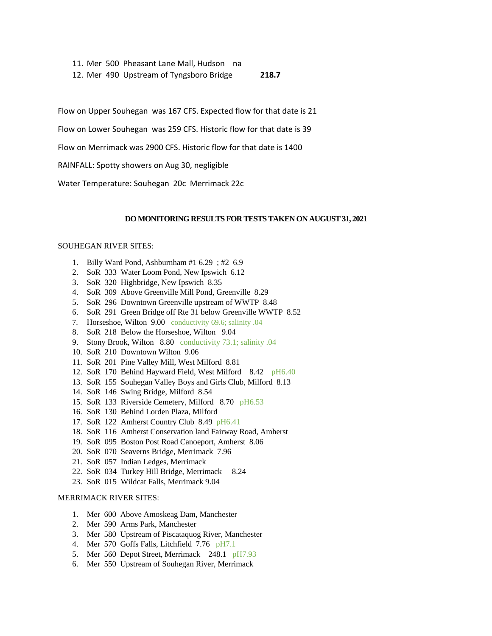11. Mer 500 Pheasant Lane Mall, Hudson na

12. Mer 490 Upstream of Tyngsboro Bridge **218.7**

Flow on Upper Souhegan was 167 CFS. Expected flow for that date is 21

Flow on Lower Souhegan was 259 CFS. Historic flow for that date is 39

Flow on Merrimack was 2900 CFS. Historic flow for that date is 1400

RAINFALL: Spotty showers on Aug 30, negligible

Water Temperature: Souhegan 20c Merrimack 22c

### **DO MONITORING RESULTS FOR TESTS TAKEN ON AUGUST 31, 2021**

#### SOUHEGAN RIVER SITES:

- 1. Billy Ward Pond, Ashburnham #1 6.29 ; #2 6.9
- 2. SoR 333 Water Loom Pond, New Ipswich 6.12
- 3. SoR 320 Highbridge, New Ipswich 8.35
- 4. SoR 309 Above Greenville Mill Pond, Greenville 8.29
- 5. SoR 296 Downtown Greenville upstream of WWTP 8.48
- 6. SoR 291 Green Bridge off Rte 31 below Greenville WWTP 8.52
- 7. Horseshoe, Wilton 9.00 conductivity 69.6; salinity .04
- 8. SoR 218 Below the Horseshoe, Wilton 9.04
- 9. Stony Brook, Wilton 8.80 conductivity 73.1; salinity .04
- 10. SoR 210 Downtown Wilton 9.06
- 11. SoR 201 Pine Valley Mill, West Milford 8.81
- 12. SoR 170 Behind Hayward Field, West Milford 8.42 pH6.40
- 13. SoR 155 Souhegan Valley Boys and Girls Club, Milford 8.13
- 14. SoR 146 Swing Bridge, Milford 8.54
- 15. SoR 133 Riverside Cemetery, Milford 8.70 pH6.53
- 16. SoR 130 Behind Lorden Plaza, Milford
- 17. SoR 122 Amherst Country Club 8.49 pH6.41
- 18. SoR 116 Amherst Conservation land Fairway Road, Amherst
- 19. SoR 095 Boston Post Road Canoeport, Amherst 8.06
- 20. SoR 070 Seaverns Bridge, Merrimack 7.96
- 21. SoR 057 Indian Ledges, Merrimack
- 22. SoR 034 Turkey Hill Bridge, Merrimack 8.24
- 23. SoR 015 Wildcat Falls, Merrimack 9.04

### MERRIMACK RIVER SITES:

- 1. Mer 600 Above Amoskeag Dam, Manchester
- 2. Mer 590 Arms Park, Manchester
- 3. Mer 580 Upstream of Piscataquog River, Manchester
- 4. Mer 570 Goffs Falls, Litchfield 7.76 pH7.1
- 5. Mer 560 Depot Street, Merrimack 248.1 pH7.93
- 6. Mer 550 Upstream of Souhegan River, Merrimack